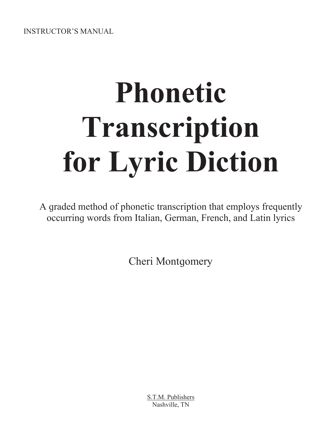**INSTRUCTOR'S MANUAL** 

# **Phonetic** Transcription for Lyric Diction

A graded method of phonetic transcription that employs frequently occurring words from Italian, German, French, and Latin lyrics

**Cheri Montgomery** 

S.T.M. Publishers Nashville, TN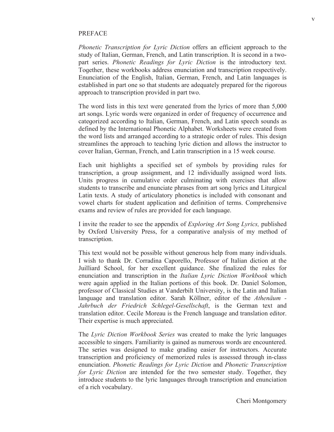#### PREFACE

*Phonetic Transcription for Lyric Diction* offers an efficient approach to the study of Italian, German, French, and Latin transcription. It is second in a twopart series. *Phonetic Readings for Lyric Diction* is the introductory text. To gether, these workbooks address enunciation and transcription respectively. Enunciation of the English, Italian, German, French, and Latin languages is established in part one so that students are adequately prepared for the rigorous approach to transcription provided in part two.

The word lists in this text were generated from the lyrics of more than 5,000 art songs. Lyric words were organized in order of frequency of occurrence and categorized according to Italian, German, French, and Latin speech sounds as defined by the International Phonetic Alphabet. Worksheets were created from the word lists and arranged according to a strategic order of rules. This design streamlines the approach to teaching lyric diction and allows the instructor to cover Italian, German, French, and Latin transcription in a 15 week course.

Each unit highlights a specified set of symbols by providing rules for transcription, a group assignment, and 12 individually assigned word lists. Units progress in cumulative order culminating with exercises that allow students to transcribe and enunciate phrases from art song lyrics and Liturgical Latin texts. A study of articulatory phonetics is included with consonant and vowel charts for student application and definition of terms. Comprehensive exams and review of rules are provided for each lanquaqe.

I invite the reader to see the appendix of *Exploring Art Song Lyrics,* published by Oxford University Press, for a comparative analysis of my method of transcription.

This text would not be possible without generous help from many individuals. I wish to thank Dr. Corradina Caporello, Professor of Italian diction at the Juilliard School, for her excellent quidance. She finalized the rules for enunciation and transcription in the *Italian Lyric Diction Workbook* which were aqain applied in the Italian portions of this book. Dr. Daniel Solomon, professor of Classical Studies at Vanderbilt University, is the Latin and Italian lanquage and translation editor. Sarah Köllner, editor of the *Athenäum* -*Jahrbuch der Friedrich Schlegel-Gesellschaft*, is the German text and translation editor. Cecile Moreau is the French language and translation editor. Their expertise is much appreciated.

The *Lyric Diction Workbook Series* was created to make the lyric languages accessible to singers. Familiarity is gained as numerous words are encountered. The series was designed to make grading easier for instructors. Accurate transcription and proficiency of memorized rules is assessed through in-class enunciation. *Phonetic Readings for Lyric Diction* and *Phonetic Transcription for Lyric Diction* are intended for the two semester study. Together, they introduce students to the lyric languages through transcription and enunciation of a rich vocabulary.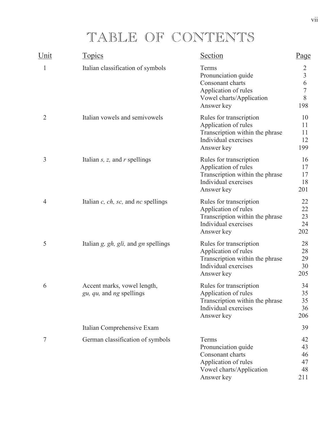# TABLE OF CONTENTS

| Unit | <b>Topics</b>                                           | Section                                                                                                                  | Page                                                   |
|------|---------------------------------------------------------|--------------------------------------------------------------------------------------------------------------------------|--------------------------------------------------------|
| 1    | Italian classification of symbols                       | Terms<br>Pronunciation guide<br>Consonant charts<br>Application of rules<br>Vowel charts/Application<br>Answer key       | 2<br>$\overline{3}$<br>6<br>$\overline{7}$<br>8<br>198 |
| 2    | Italian vowels and semivowels                           | Rules for transcription<br>Application of rules<br>Transcription within the phrase<br>Individual exercises<br>Answer key | 10<br>11<br>11<br>12<br>199                            |
| 3    | Italian $s$ , $z$ , and $r$ spellings                   | Rules for transcription<br>Application of rules<br>Transcription within the phrase<br>Individual exercises<br>Answer key | 16<br>17<br>17<br>18<br>201                            |
| 4    | Italian $c$ , $ch$ , $sc$ , and $nc$ spellings          | Rules for transcription<br>Application of rules<br>Transcription within the phrase<br>Individual exercises<br>Answer key | 22<br>22<br>23<br>24<br>202                            |
| 5    | Italian $g$ , $gh$ , $gli$ , and $gn$ spellings         | Rules for transcription<br>Application of rules<br>Transcription within the phrase<br>Individual exercises<br>Answer key | 28<br>28<br>29<br>30<br>205                            |
| 6    | Accent marks, vowel length,<br>gu, qu, and ng spellings | Rules for transcription<br>Application of rules<br>Transcription within the phrase<br>Individual exercises<br>Answer key | 34<br>35<br>35<br>36<br>206                            |
|      | Italian Comprehensive Exam                              |                                                                                                                          | 39                                                     |
| 7    | German classification of symbols                        | Terms<br>Pronunciation guide<br>Consonant charts<br>Application of rules<br>Vowel charts/Application<br>Answer key       | 42<br>43<br>46<br>47<br>48<br>211                      |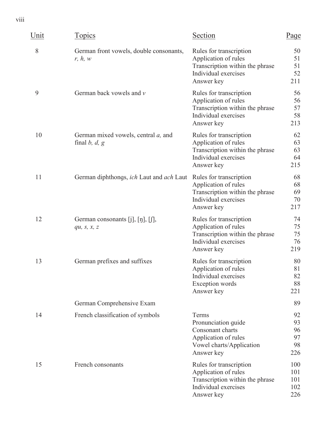viii

| Unit | Topics                                                         | Section                                                                                                                  | Page                              |
|------|----------------------------------------------------------------|--------------------------------------------------------------------------------------------------------------------------|-----------------------------------|
| 8    | German front vowels, double consonants,<br>r, h, w             | Rules for transcription<br>Application of rules<br>Transcription within the phrase<br>Individual exercises<br>Answer key | 50<br>51<br>51<br>52<br>211       |
| 9    | German back vowels and v                                       | Rules for transcription<br>Application of rules<br>Transcription within the phrase<br>Individual exercises<br>Answer key | 56<br>56<br>57<br>58<br>213       |
| 10   | German mixed vowels, central <i>a</i> , and<br>final $b, d, g$ | Rules for transcription<br>Application of rules<br>Transcription within the phrase<br>Individual exercises<br>Answer key | 62<br>63<br>63<br>64<br>215       |
| 11   | German diphthongs, ich Laut and ach Laut                       | Rules for transcription<br>Application of rules<br>Transcription within the phrase<br>Individual exercises<br>Answer key | 68<br>68<br>69<br>70<br>217       |
| 12   | German consonants $[j], [j], [j],$<br>qu, $s, x, z$            | Rules for transcription<br>Application of rules<br>Transcription within the phrase<br>Individual exercises<br>Answer key | 74<br>75<br>75<br>76<br>219       |
| 13   | German prefixes and suffixes                                   | Rules for transcription<br>Application of rules<br>Individual exercises<br>Exception words<br>Answer key                 | 80<br>81<br>82<br>88<br>221       |
|      | German Comprehensive Exam                                      |                                                                                                                          | 89                                |
| 14   | French classification of symbols                               | Terms<br>Pronunciation guide<br>Consonant charts<br>Application of rules<br>Vowel charts/Application<br>Answer key       | 92<br>93<br>96<br>97<br>98<br>226 |
| 15   | French consonants                                              | Rules for transcription<br>Application of rules<br>Transcription within the phrase<br>Individual exercises<br>Answer key | 100<br>101<br>101<br>102<br>226   |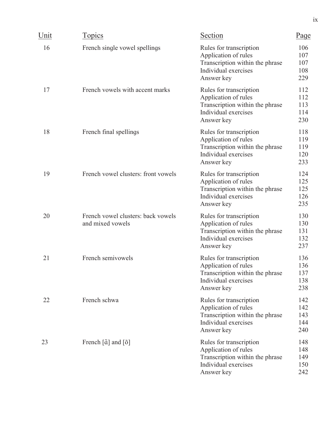| Unit | <b>Topics</b>                                                          | Section                                                                                                                  | Page                            |
|------|------------------------------------------------------------------------|--------------------------------------------------------------------------------------------------------------------------|---------------------------------|
| 16   | French single vowel spellings                                          | Rules for transcription<br>Application of rules<br>Transcription within the phrase<br>Individual exercises<br>Answer key | 106<br>107<br>107<br>108<br>229 |
| 17   | French vowels with accent marks                                        | Rules for transcription<br>Application of rules<br>Transcription within the phrase<br>Individual exercises<br>Answer key | 112<br>112<br>113<br>114<br>230 |
| 18   | French final spellings                                                 | Rules for transcription<br>Application of rules<br>Transcription within the phrase<br>Individual exercises<br>Answer key | 118<br>119<br>119<br>120<br>233 |
| 19   | French vowel clusters: front vowels                                    | Rules for transcription<br>Application of rules<br>Transcription within the phrase<br>Individual exercises<br>Answer key | 124<br>125<br>125<br>126<br>235 |
| 20   | French vowel clusters: back vowels<br>and mixed vowels                 | Rules for transcription<br>Application of rules<br>Transcription within the phrase<br>Individual exercises<br>Answer key | 130<br>130<br>131<br>132<br>237 |
| 21   | French semivowels                                                      | Rules for transcription<br>Application of rules<br>Transcription within the phrase<br>Individual exercises<br>Answer key | 136<br>136<br>137<br>138<br>238 |
| 22   | French schwa                                                           | Rules for transcription<br>Application of rules<br>Transcription within the phrase<br>Individual exercises<br>Answer key | 142<br>142<br>143<br>144<br>240 |
| 23   | French $\left[\tilde{\alpha}\right]$ and $\left[\tilde{\delta}\right]$ | Rules for transcription<br>Application of rules<br>Transcription within the phrase<br>Individual exercises<br>Answer key | 148<br>148<br>149<br>150<br>242 |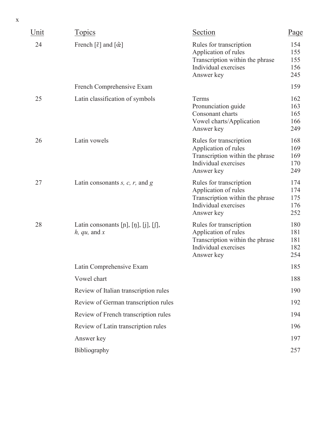| Unit | <b>Topics</b>                                                                 | Section                                                                                                                  | Page                            |
|------|-------------------------------------------------------------------------------|--------------------------------------------------------------------------------------------------------------------------|---------------------------------|
| 24   | French $\lceil \tilde{\varepsilon} \rceil$ and $\lceil \tilde{\varpi} \rceil$ | Rules for transcription<br>Application of rules<br>Transcription within the phrase<br>Individual exercises<br>Answer key | 154<br>155<br>155<br>156<br>245 |
|      | French Comprehensive Exam                                                     |                                                                                                                          | 159                             |
| 25   | Latin classification of symbols                                               | Terms<br>Pronunciation guide<br>Consonant charts<br>Vowel charts/Application<br>Answer key                               | 162<br>163<br>165<br>166<br>249 |
| 26   | Latin vowels                                                                  | Rules for transcription<br>Application of rules<br>Transcription within the phrase<br>Individual exercises<br>Answer key | 168<br>169<br>169<br>170<br>249 |
| 27   | Latin consonants $s$ , $c$ , $r$ , and $g$                                    | Rules for transcription<br>Application of rules<br>Transcription within the phrase<br>Individual exercises<br>Answer key | 174<br>174<br>175<br>176<br>252 |
| 28   | Latin consonants $[n], [n], [j], [f],$<br>$h, qu,$ and $x$                    | Rules for transcription<br>Application of rules<br>Transcription within the phrase<br>Individual exercises<br>Answer key | 180<br>181<br>181<br>182<br>254 |
|      | Latin Comprehensive Exam                                                      |                                                                                                                          | 185                             |
|      | Vowel chart                                                                   |                                                                                                                          | 188                             |
|      | Review of Italian transcription rules                                         |                                                                                                                          | 190                             |
|      | Review of German transcription rules                                          |                                                                                                                          | 192                             |
|      | Review of French transcription rules                                          |                                                                                                                          | 194                             |
|      | Review of Latin transcription rules                                           |                                                                                                                          | 196                             |
|      | Answer key                                                                    |                                                                                                                          | 197                             |
|      | Bibliography                                                                  |                                                                                                                          | 257                             |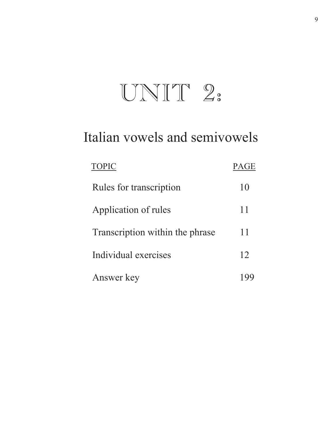# UNIT 2:

## Italian vowels and semivowels

| <b>TOPIC</b>                    | PAGE |
|---------------------------------|------|
| Rules for transcription         | 10   |
| Application of rules            | 11   |
| Transcription within the phrase | 11   |
| Individual exercises            | 12   |
| Answer key                      |      |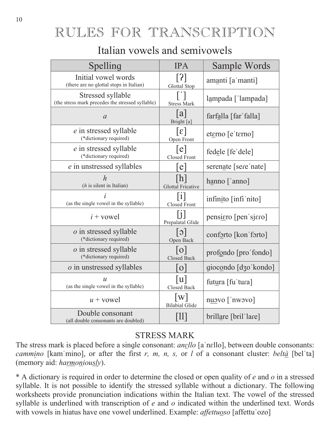## RULES FOR TRANSCRIPTION

#### Italian vowels and semivowels

| Spelling                                                              | <b>IPA</b>                                      | Sample Words             |
|-----------------------------------------------------------------------|-------------------------------------------------|--------------------------|
| Initial vowel words<br>(there are no glottal stops in Italian)        | 3 <br><b>Glottal Stop</b>                       | amanti [a 'manti]        |
| Stressed syllable<br>(the stress mark precedes the stressed syllable) | <b>Stress Mark</b>                              | lampada ['lampada]       |
| $\mathfrak a$                                                         | a <br>Bright [a]                                | farfalla [far falla]     |
| e in stressed syllable<br>(*dictionary required)                      | $\epsilon$<br>Open Front                        | et <u>erno</u> [e'terno] |
| e in stressed syllable<br>(*dictionary required)                      | $\lceil e \rceil$<br><b>Closed Front</b>        | fedele [fe'dele]         |
| e in unstressed syllables                                             | e                                               | serenate [sere nate]     |
| $\boldsymbol{h}$<br>$(h$ is silent in Italian)                        | $\lfloor h \rfloor$<br><b>Glottal Fricative</b> | hanno ['anno]            |
| (as the single vowel in the syllable)                                 | l 1 l<br><b>Closed Front</b>                    | infinito [infi nito]     |
| $i$ + vowel                                                           | Prepalatal Glide                                | pensiero [pen sjero]     |
| <i>o</i> in stressed syllable<br>(*dictionary required)               | $ \circ $<br>Open Back                          | conforto [kon forto]     |
| <i>o</i> in stressed syllable<br>(*dictionary required)               | 0 <br><b>Closed Back</b>                        | profondo [pro'fondo]     |
| $o$ in unstressed syllables                                           | $\overline{O}$                                  | giocondo [dʒoˈkondo]     |
| $\mathcal{U}$<br>(as the single vowel in the syllable)                | u<br>Closed Back                                | futura [fu'tura]         |
| $u$ + vowel                                                           | W <br><b>Bilabial Glide</b>                     | nuovo ['nwovo]           |
| Double consonant<br>(all double consonants are doubled)               |                                                 | brillare [bril'lare]     |

#### **STRESS MARK**

The stress mark is placed before a single consonant: *anello* [a'nello], between double consonants: *cammino* [kam mino], or after the first r, m, n, s, or l of a consonant cluster: beltà [bel ta] (memory aid: harmoniously).

\* A dictionary is required in order to determine the closed or open quality of  $e$  and  $o$  in a stressed syllable. It is not possible to identify the stressed syllable without a dictionary. The following worksheets provide pronunciation indications within the Italian text. The vowel of the stressed syllable is underlined with transcription of  $e$  and  $o$  indicated within the underlined text. Words with vowels in hiatus have one vowel underlined. Example: affettuoso [affettu'ozo]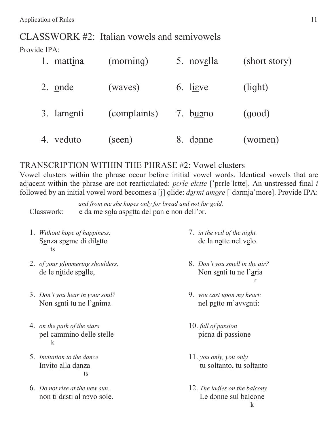CLASSWORK #2: Italian vowels and semivowels

Provide IPA:

|    | 1. mattina | (morning)    | 5. novella        | (short story) |
|----|------------|--------------|-------------------|---------------|
|    | 2. onde    | (waves)      | 6. lieve          | (light)       |
|    | 3. lamenti | (complaints) | 7. b <u>uo</u> no | (qood)        |
| 4. | veduto     | (seen)       | donne<br>8.       | (women)       |

#### TRANSCRIPTION WITHIN THE PHRASE #2: Vowel clusters

Vowel clusters within the phrase occur before initial vowel words. Identical vowels that are adjacent within the phrase are not rearticulated: perle elette ['pɛrle'lɛtte]. An unstressed final *i* followed by an initial vowel word becomes a [j] glide: *d*<sub>2</sub>*rmi amore* ['dormja'more]. Provide IPA:

*and from me she hopes only for bread and not for gold.* Classwork: e da me sola aspetta del pan e non dell'or.

- 1. *Without hope of happiness,* Senza speme di diletto  $\mathbf{t}$ s
- 2. *of your glimmering shoulders,*  de le nitide spalle,
- 3. *Don't you hear in your soul?* Non senti tu ne l'anima
- 4. *on the path of the stars* pel cammino delle stelle  $\bf k$ 
	- 5. *Invitation to the dance* Invito alla danza  $\mathop{\mathrm{d}}$
	- 6. *Do not rise at the new sun.* non ti desti al novo sole.
- 7. *in the veil of the night.* de la notte nel velo.
- 8. *Don't you smell in the air?* Non senti tu ne l'aria  $\overline{1}$
- 9. *you cast upon my heart:* nel petto m'avventi:
- 10. *full of passion* piena di passione
- 11. *you only, you only* tu soltanto, tu soltanto
- 12. *The ladies on the balcony* Le donne sul balcone  $\bf k$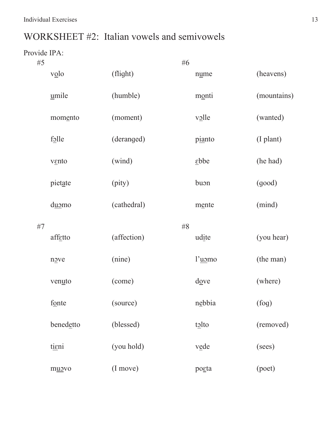### WORKSHEET #2: Italian vowels and semivowels

| #5 |           |             | #6 |                           |             |
|----|-----------|-------------|----|---------------------------|-------------|
|    | $v_0$ lo  | (flight)    |    | nume                      | (heavens)   |
|    | umile     | (humble)    |    | monti                     | (mountains) |
|    | momento   | (moment)    |    | $v_2$ lle                 | (wanted)    |
|    | folle     | (deranged)  |    | pianto                    | (I plant)   |
|    | vento     | (wind)      |    | $\underline{\text{ebbe}}$ | (he had)    |
|    | pietate   | (pity)      |    | buon                      | (good)      |
|    | duomo     | (cathedral) |    | mente                     | (mind)      |
|    |           |             |    |                           |             |
| #7 | affetto   | (affection) | #8 | udite                     | (you hear)  |
|    | nove      | (nine)      |    | l'uomo                    | (the man)   |
|    | venuto    | (come)      |    | $\frac{d\omega}{ }$       | (where)     |
|    | fonte     | (source)    |    | nebbia                    | (fog)       |
|    | benedetto | (blessed)   |    | tolto                     | (removed)   |
|    | tieni     | (you hold)  |    | vede                      | (sees)      |
|    | muovo     | (I move)    |    | posta                     | (poet)      |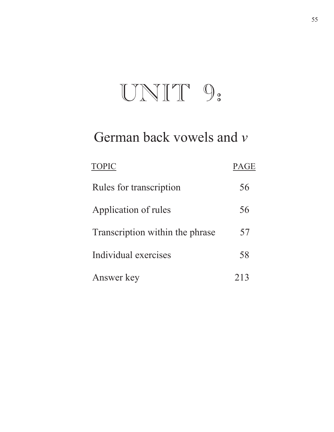# UNIT 9:

## German back vowels and *v*

| <b>TOPIC</b>                    | <b>PAGE</b> |
|---------------------------------|-------------|
| Rules for transcription         | 56          |
| Application of rules            | 56          |
| Transcription within the phrase | 57          |
| Individual exercises            | 58          |
| Answer key                      | 213         |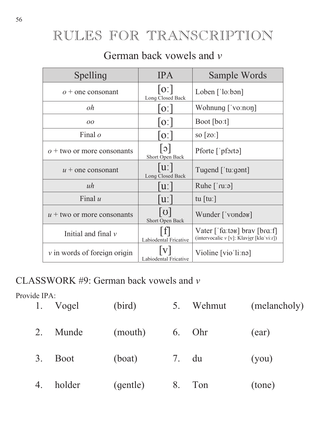## RULES FOR TRANSCRIPTION

### German back vowels and *v*

| Spelling                         | <b>IPA</b>                      | Sample Words                                                             |
|----------------------------------|---------------------------------|--------------------------------------------------------------------------|
| $o+$ one consonant               | [0:]<br>Long Closed Back        | Loben $\lceil$ 'lo:bən]                                                  |
| oh                               | O <sub>1</sub>                  | Wohnung ['vo:non]                                                        |
| $\overline{O}O$                  | O                               | Boot [boːt]                                                              |
| Final $o$                        | O                               | so $[zo.]$                                                               |
| $\rho$ + two or more consonants  | $ \circ $<br>Short Open Back    | Pforte $\lceil \cdot \rceil$                                             |
| $u$ + one consonant              | $ u\rangle$<br>Long Closed Back | Tugend $\lceil$ tugent]                                                  |
| uh                               | $\mathbf{u}$ :                  | Ruhe $\lceil \text{ru:ə} \rceil$                                         |
| Final $u$                        | $\mathbf{u}$ :                  | tu $\lceil \text{tu} \rceil$                                             |
| $u$ + two or more consonants     | ပ <br>Short Open Back           | Wunder ['vonda <sub>B</sub> ]                                            |
| Initial and final $\nu$          | Labiodental Fricative           | Vater ['fɑːtəʁ] brav [brɑːf]<br>(intervocalic v [v]: Klavier [kla'vi:r]) |
| $\nu$ in words of foreign origin | Labiodental Fricative           | Violine [vio'liːnə]                                                      |

### CLASSWORK #9: German back vowels and *v*

| 1. | Vogel       | (bird)   | 5.    | Wehmut   | (melancholy) |
|----|-------------|----------|-------|----------|--------------|
| 2. | Munde       | (mouth)  |       | $6.$ Ohr | (ear)        |
| 3. | <b>Boot</b> | (boat)   | 7. du |          | (you)        |
| 4. | holder      | (gentle) | 8.    | Ton      | (tone)       |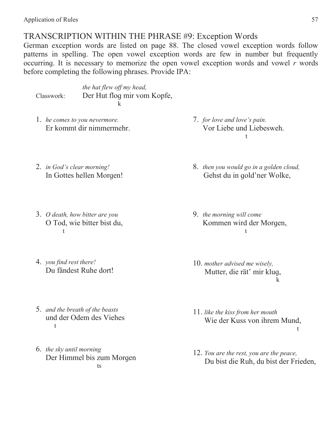Application of Rules 57

#### TRANSCRIPTION WITHIN THE PHRASE #9: Exception Words

German exception words are listed on page 88. The closed vowel exception words follow patterns in spelling. The open vowel exception words are few in number but frequently occurring. It is necessary to memorize the open vowel exception words and vowel *r* words before completing the following phrases. Provide IPA:

*the hat flew off my head,*  Classwork: Der Hut flog mir vom Kopfe,  $\bf k$ 

1. *he comes to you nevermore.* Er kommt dir nimmermehr. 7. *for love and love's pain.* Vor Liebe und Liebesweh.  $\mathbf t$ 

- 2. *in God's clear morning!* In Gottes hellen Morgen!
- 3. *O death, how bitter are you* O Tod, wie bitter bist du,  $\mathbf t$
- 4. *you find rest there!* Du fändest Ruhe dort!
- 5. *and the breath of the beasts* und der Odem des Viehes  $\mathbf t$
- 6. *the sky until morning* Der Himmel bis zum Morgen ts
- 8. *then you would go in a golden cloud,* Gehst du in gold'ner Wolke,
- 9. *the morning will come* Kommen wird der Morgen,  $t$
- 10. *mother advised me wisely,*  Mutter, die rät' mir kluq,  $k$
- 11. *like the kiss from her mouth* Wie der Kuss von ihrem Mund,  $\mathbf t$
- 12. *You are the rest, you are the peace,*  Du bist die Ruh, du bist der Frieden,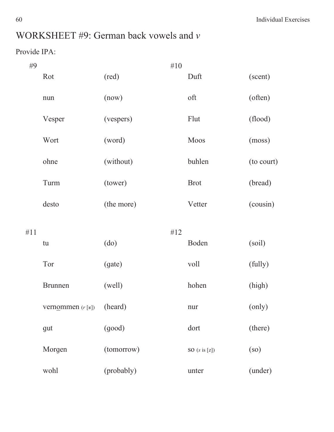## WORKSHEET #9: German back vowels and *v*

| #9  |                            |            | #10 |                          |            |
|-----|----------------------------|------------|-----|--------------------------|------------|
|     | Rot                        | (red)      |     | Duft                     | (scent)    |
|     | nun                        | (now)      |     | oft                      | (often)    |
|     | Vesper                     | (vespers)  |     | Flut                     | (flood)    |
|     | Wort                       | (word)     |     | Moos                     | (moss)     |
|     | ohne                       | (without)  |     | buhlen                   | (to court) |
|     | Turm                       | (tower)    |     | <b>Brot</b>              | (bread)    |
|     | desto                      | (the more) |     | Vetter                   | (cousin)   |
| #11 |                            |            | #12 |                          |            |
|     | tu                         | (do)       |     | Boden                    | (soil)     |
|     | Tor                        | (gate)     |     | voll                     | (fully)    |
|     | <b>Brunnen</b>             | (well)     |     | hohen                    | (high)     |
|     | vern <u>om</u> men (r [B]) | (heard)    |     | nur                      | (only)     |
|     | gut                        | (good)     |     | dort                     | (there)    |
|     | Morgen                     | (tomorrow) |     | SO $(s \text{ is } [z])$ | (so)       |
|     | wohl                       | (probably) |     | unter                    | (under)    |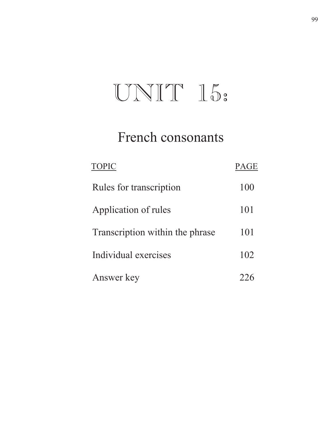# UNIT 15:

# French consonants

| <b>TOPIC</b>                    | <b>PAGE</b> |
|---------------------------------|-------------|
| Rules for transcription         | 100         |
| Application of rules            | 101         |
| Transcription within the phrase | 101         |
| Individual exercises            | 102         |
| Answer key                      |             |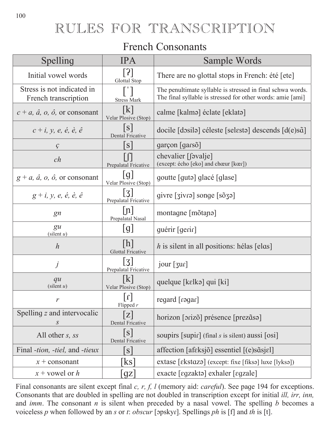## RULES FOR TRANSCRIPTION

#### **French Consonants**

| Spelling                                             | <b>IPA</b>                        | Sample Words                                                                                                             |
|------------------------------------------------------|-----------------------------------|--------------------------------------------------------------------------------------------------------------------------|
| Initial vowel words                                  | $\lceil 3 \rceil$<br>Glottal Stop | There are no glottal stops in French: été [ete]                                                                          |
| Stress is not indicated in<br>French transcription   | <b>Stress Mark</b>                | The penultimate syllable is stressed in final schwa words.<br>The final syllable is stressed for other words: amie [ami] |
| $c + a$ , $\hat{a}$ , $o$ , $\hat{o}$ , or consonant | k <br>Velar Plosive (Stop)        | calme [kalmə] éclate [eklatə]                                                                                            |
| $c + i$ , y, e, é, è, ê                              | S <br><b>Dental Fricative</b>     | docile [dosilə] céleste [selestə] descends $[d(e)$ s $\tilde{a}]$                                                        |
| $\mathcal{G}$                                        | S                                 | garçon [garsõ]                                                                                                           |
| ch                                                   | Prepalatal Fricative              | chevalier [svalje]<br>(except: écho [eko] and chœur [kœr])                                                               |
| $g + a$ , $\hat{a}$ , $o$ , $\hat{o}$ , or consonant | [g]<br>Velar Plosive (Stop)       | goutte [guta] glacé [glase]                                                                                              |
| $g + i$ , y, e, é, è, ê                              | 3 <br>Prepalatal Fricative        | givre [givre] songe [sõg]                                                                                                |
| gn                                                   | n <br>Prepalatal Nasal            | montagne [mõtano]                                                                                                        |
| $\mathfrak{g}u$<br>(silent u)                        | [g]                               | guérir [gerir]                                                                                                           |
| $\boldsymbol{h}$                                     | h <br><b>Glottal Fricative</b>    | h is silent in all positions: hélas [elas]                                                                               |
| j                                                    | 3 <br>Prepalatal Fricative        | jour [3ur]                                                                                                               |
| qu<br>(silent u)                                     | K <br>Velar Plosive (Stop)        | quelque [kɛlkə] qui [ki]                                                                                                 |
| $\mathcal{V}$                                        | $[1]$<br>Flipped $r$              | regard [rəgar]                                                                                                           |
| Spelling z and intervocalic<br>S                     | Z <br><b>Dental Fricative</b>     | horizon [orizõ] présence [prezãsə]                                                                                       |
| All other <i>s</i> , <i>ss</i>                       | [s]<br><b>Dental Fricative</b>    | soupirs $[supir]$ (final s is silent) aussi $[osi]$                                                                      |
| Final <i>-tion, -tiel, and -tieux</i>                | $\vert$ S                         | affection [afeksjõ] essentiel [(e)s $\tilde{a}$ sjel]                                                                    |
| $x + constant$                                       | $\rm ks$                          | extase [ɛkstɑzə] (except: fixe [fiksə] luxe [lyksə])                                                                     |
| $x$ + vowel or h                                     | $\left\lfloor 9Z\right\rfloor$    | exacte [egzaktə] exhaler [egzale]                                                                                        |

Final consonants are silent except final  $c$ ,  $r$ ,  $f$ ,  $l$  (memory aid: *careful*). See page 194 for exceptions. Consonants that are doubled in spelling are not doubled in transcription except for initial ill, irr, inn, and  $imm$ . The consonant  $n$  is silent when preceded by a nasal vowel. The spelling  $b$  becomes a voiceless p when followed by an s or t: obscur [opskyr]. Spellings ph is [f] and th is [t].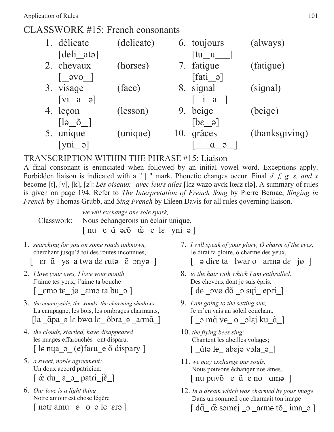#### CLASSWORK #15: French consonants

| 1. délicate                                                                      | (delicate) | 6. toujours                            | (always)       |
|----------------------------------------------------------------------------------|------------|----------------------------------------|----------------|
| $\lceil \text{deli}_\text{at} \rceil$                                            |            | $\lceil \text{tu} \_ \text{u} \rceil$  |                |
| 2. chevaux                                                                       | (horses)   | 7. fatique                             | (fatigue)      |
| $\begin{bmatrix} -9V & 0 \\ 0 & 0 \end{bmatrix}$                                 |            | $\lceil \text{fati}\_\vartheta \rceil$ |                |
| 3. visage                                                                        | (face)     | 8. signal                              | (signal)       |
| $[vi_a_o]$                                                                       |            | $\lceil$ i a $\rceil$                  |                |
| 4. leçon                                                                         | (lesson)   | 9. beige                               | (beige)        |
| $\begin{bmatrix} \n\begin{bmatrix} a & b \\ c & d \end{bmatrix} \n\end{bmatrix}$ |            | $\lceil \theta \cdot \theta \rceil$    |                |
| unique                                                                           | (unique)   | 10. grâces                             | (thanksgiving) |
| $[\text{vni} \space \text{a}]$                                                   |            | $\Theta$                               |                |

#### TRANSCRIPTION WITHIN THE PHRASE #15: Liaison

A final consonant is enunciated when followed by an initial vowel word. Exceptions apply. Forbidden liaison is indicated with a " | " mark. Phonetic changes occur. Final *d, f, g, s, and x* become [t], [v], [k], [z]: *Les oiseaux | avec leurs ailes* [lez wazo avɛk lœrz ɛlə]. A summary of rules is given on page 194. Refer to *The Interpretation of French Song* by Pierre Bernac, *Singing in French* by Thomas Grubb, and *Sing French* by Eileen Davis for all rules governing liaison.

*we will exchange one sole spark,* Classwork: Nous échangerons un éclair unique,  $\left[$ nu  $e_{\alpha}$  $\tilde{a}_{\alpha}$  $\tilde{a}_{\alpha}$  $\tilde{a}_{\alpha}$  $\tilde{e}_{\alpha}$  $\tilde{e}_{\alpha}$  $\tilde{e}_{\alpha}$  $\tilde{e}_{\alpha}$  $\tilde{e}_{\alpha}$  $\tilde{e}_{\alpha}$ 

1. *searching for you on some roads unknown,*  cherchant jusqu'à toi des routes inconnues,

Ѻܤ ݐܭ ] ys a twa dܭ ݐXWԥ ܭѺ ܧQ\ԥ ]

- 2. *I love your eyes, I love your mouth* J'aime tes yeux, j'aime ta bouche  $\lceil$   $\epsilon$ m $\epsilon$  ig  $\epsilon$ m $\epsilon$  ta bu  $\epsilon$   $\lceil$
- 3. *the countryside, the woods, the charming shadows,* La campagne, les bois, les ombrages charmants, [la \_ɑ̃pa\_ə le bwɑ le\_ õbɾa\_ə \_aɾmɑ̃\_]
- 4. *the clouds, startled, have disappeared* les nuages effarouchés | ont disparu.  $\lceil$  le nya  $\circ$  (e) faru e õ dispary  $\lceil$
- 5. *a sweet, noble agreement:* Un doux accord patricien:  $[\tilde{\alpha}$  du\_ a\_o\_ patri\_j $\tilde{\epsilon}$ \_]
- 6. *Our love is a light thing* Notre amour est chose légère  $\lceil$  notr amu  $\epsilon$  o  $\lceil$  b  $\epsilon$  era  $\rceil$
- 7. *I will speak of your glory, O charm of the eyes,* Je dirai ta gloire, ô charme des yeux,  $\lceil$   $\lceil$   $\lceil$   $\lceil$   $\lceil$   $\lceil$   $\lceil$   $\lceil$   $\lceil$   $\lceil$   $\lceil$   $\lceil$   $\lceil$   $\lceil$   $\lceil$   $\lceil$   $\lceil$   $\lceil$   $\lceil$   $\lceil$   $\lceil$   $\lceil$   $\lceil$   $\lceil$   $\lceil$   $\lceil$   $\lceil$   $\lceil$   $\lceil$   $\lceil$   $\lceil$   $\lceil$   $\lceil$   $\lceil$   $\lceil$   $\lceil$   $\lceil$
- 8. *to the hair with which I am enthralled.* Des cheveux dont je suis épris.  $\lceil$  de  $\sqrt{ }$   $\sqrt{ }$   $\sqrt{ }$   $\sqrt{ }$   $\sqrt{ }$   $\sqrt{ }$   $\sqrt{ }$   $\sqrt{ }$   $\sqrt{ }$   $\sqrt{ }$   $\sqrt{ }$   $\sqrt{ }$   $\sqrt{ }$   $\sqrt{ }$   $\sqrt{ }$   $\sqrt{ }$   $\sqrt{ }$   $\sqrt{ }$   $\sqrt{ }$   $\sqrt{ }$   $\sqrt{ }$   $\sqrt{ }$   $\sqrt{ }$   $\sqrt{ }$   $\sqrt{ }$   $\sqrt{ }$   $\sqrt{ }$   $\sqrt{ }$   $\sqrt{ }$   $\sqrt{ }$   $\$
- 9. *I am going to the setting sun,* Je m'en vais au soleil couchant, [ \_ə mã ve\_ o \_olɛj ku\_ã\_]
- 10. *the flying bees sing;* Chantent les abeilles volages; [ \_ãtə le\_ abejə vəla\_ə\_]
- 11. *we may exchange our souls,*  Nous pouvons échanger nos âmes,  $[$  nu puvõ $_$ e $_$ a $^$ e no $_$  amə $_$ ]
- 12. *In a dream which was charmed by your image* Dans un sommeil que charmait ton image  $\left[ \frac{\mathrm{d}\tilde{\mathfrak{a}}}{\tilde{\mathfrak{a}}} \right]$   $\tilde{\mathfrak{a}}$  some  $\mathrm{j} \rightarrow \text{arm}$ e tõ $\left[ \frac{\mathrm{d}\tilde{\mathfrak{a}}}{\tilde{\mathfrak{a}}} \right]$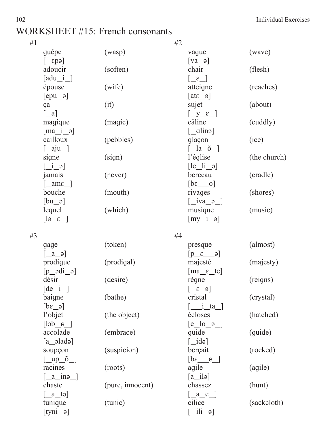### WORKSHEET #15: French consonants

| #1 |                                                                  |           | #2                                                                                                               |              |  |
|----|------------------------------------------------------------------|-----------|------------------------------------------------------------------------------------------------------------------|--------------|--|
|    | guêpe                                                            | (wasp)    | vague                                                                                                            | (wave)       |  |
|    | $\lceil \text{epa} \rceil$                                       |           | $[va_9]$                                                                                                         |              |  |
|    | adoucir                                                          | (soften)  | chair                                                                                                            | (flesh)      |  |
|    | $\lceil \text{adu} \_i \rceil$                                   |           | $\lceil \varepsilon \rceil$                                                                                      |              |  |
|    | épouse                                                           | (wife)    | atteigne                                                                                                         | (reaches)    |  |
|    | $[epu_$ $]$                                                      |           | $\lceil \text{at} \varepsilon \rfloor$                                                                           |              |  |
|    | ça                                                               | (it)      | sujet                                                                                                            | (about)      |  |
|    | $\begin{bmatrix} a \end{bmatrix}$                                |           | $y_{\epsilon}$                                                                                                   |              |  |
|    | magique                                                          | (magic)   | câline                                                                                                           | (cuddly)     |  |
|    | $\lceil ma_i \rceil$                                             |           | $\lceil$ _alinə]                                                                                                 |              |  |
|    | cailloux                                                         | (pebbles) | glaçon                                                                                                           | (ice)        |  |
|    | $\left[\_\text{aju}\right]$                                      |           | [ la õ ]                                                                                                         |              |  |
|    | signe                                                            | (sign)    | l'église                                                                                                         | (the church) |  |
|    | $\begin{bmatrix} 1 & 0 \\ 0 & 1 \end{bmatrix}$                   |           | $\left[ \begin{matrix} \begin{bmatrix} e & \begin{bmatrix} i & \end{bmatrix} \end{bmatrix} \end{matrix} \right]$ |              |  |
|    | jamais                                                           | (never)   | berceau                                                                                                          | (cradle)     |  |
|    | $\lceil \underline{\quad}$ ame $\lceil \underline{\quad} \rceil$ |           | $[be \underline{\hspace{1cm}} 0]$                                                                                |              |  |
|    | bouche                                                           | (mouth)   | rivages                                                                                                          | (shores)     |  |
|    | $[bu_$ <sup>a</sup>                                              |           | $\begin{bmatrix} i & v \end{bmatrix}$                                                                            |              |  |
|    | lequel                                                           | (which)   | musique                                                                                                          | (music)      |  |
|    | $\begin{bmatrix} a & b \end{bmatrix}$                            |           | $[my_i]$ $\rightarrow$                                                                                           |              |  |
|    |                                                                  |           |                                                                                                                  |              |  |

| #3 |                                                                                                                                   |                  | #4                                                               |             |  |
|----|-----------------------------------------------------------------------------------------------------------------------------------|------------------|------------------------------------------------------------------|-------------|--|
|    | gage                                                                                                                              | (token)          | presque                                                          | (almost)    |  |
|    | $\begin{bmatrix} a & a \end{bmatrix}$                                                                                             |                  | $\lceil p \quad \varepsilon \quad \rceil$                        |             |  |
|    | prodigue                                                                                                                          | (prodigal)       | majesté                                                          | (majesty)   |  |
|    | $[p_3d_i]$                                                                                                                        |                  | $\left[\text{ma}\_\epsilon\_\text{te}\right]$                    |             |  |
|    | désir                                                                                                                             | (desire)         | règne                                                            | (reigns)    |  |
|    | $\begin{bmatrix} de & i \end{bmatrix}$                                                                                            |                  | $\left[\begin{array}{cc} \epsilon & \epsilon \end{array}\right]$ |             |  |
|    | baigne                                                                                                                            | (bathe)          | cristal                                                          | (crystal)   |  |
|    | $\begin{bmatrix} 6 & 3d \end{bmatrix}$                                                                                            |                  | $\begin{bmatrix} i & a \end{bmatrix}$                            |             |  |
|    | l'objet                                                                                                                           | (the object)     | écloses                                                          | (hatched)   |  |
|    |                                                                                                                                   |                  | $[e_$ o $]$                                                      |             |  |
|    | accolade                                                                                                                          | (embrace)        | quide                                                            | (guide)     |  |
|    | $[a_$ [adə]                                                                                                                       |                  | $\lceil$ idə $\rceil$                                            |             |  |
|    | soupçon                                                                                                                           | (suspicion)      | berçait                                                          | (rocked)    |  |
|    | $\left[\begin{array}{cc} \begin{array}{c} \begin{array}{c} \text{\large The} \\ \text{\large The} \end{array} \end{array}\right]$ |                  | $\begin{bmatrix} b\varepsilon & \varepsilon \end{bmatrix}$       |             |  |
|    | racines                                                                                                                           | (roots)          | agile                                                            | (agile)     |  |
|    | $\left[\begin{array}{cc} a & \text{in} \\ \end{array}\right]$                                                                     |                  | $[a_i]$                                                          |             |  |
|    | chaste                                                                                                                            | (pure, innocent) | chassez                                                          | (hunt)      |  |
|    | $\left[\begin{array}{cc}a\$                                                                                                       |                  | $\lceil \underline{a} \underline{e} \underline{e} \rceil$        |             |  |
|    | tunique                                                                                                                           | (tunic)          | cilice                                                           | (sackcloth) |  |
|    | $[$ tyni_ə $]$                                                                                                                    |                  | $\lceil$ ili ə $\rceil$                                          |             |  |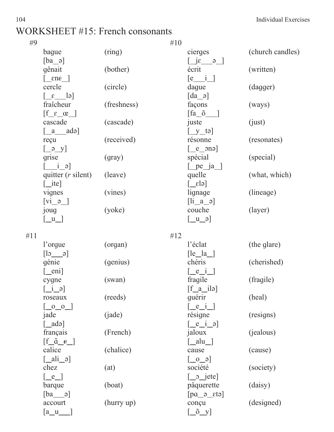### WORKSHEET #15: French consonants

| #9 |                                                          |             | #10                                                                                       |                  |
|----|----------------------------------------------------------|-------------|-------------------------------------------------------------------------------------------|------------------|
|    | bague                                                    | (ring)      | cierges                                                                                   | (church candles) |
|    | $[ba_$ ]                                                 |             | $\begin{bmatrix} 1 & 0 \\ 0 & 1 \end{bmatrix}$                                            |                  |
|    | gênait                                                   | (bother)    | écrit                                                                                     | (written)        |
|    | $\lceil$ ene $\rceil$                                    |             | $\begin{bmatrix} e & i \end{bmatrix}$                                                     |                  |
|    | cercle                                                   | (circle)    | dague                                                                                     | (dagger)         |
|    | $\lceil \varepsilon \rceil$                              |             | $\lceil da \_o \rceil$                                                                    |                  |
|    | fraîcheur                                                | (freshness) | façons                                                                                    | (ways)           |
|    | $\begin{bmatrix} f & \varepsilon & \alpha \end{bmatrix}$ |             | [fa õ                                                                                     |                  |
|    | cascade                                                  | (cascade)   | juste                                                                                     | (iust)           |
|    | [ a adə]                                                 |             | $\left[\underline{y}$ tə $\right]$                                                        |                  |
|    | reçu                                                     | (received)  | résonne                                                                                   | (resonates)      |
|    | $\left[\begin{array}{cc} \varphi & y \end{array}\right]$ |             | $\left[ \underline{e}$ one                                                                |                  |
|    | grise                                                    | (qray)      | spécial                                                                                   | (special)        |
|    | $\frac{i}{\sqrt{2}}$                                     |             | $[\underline{\hspace{6pt}}$ pe $\underline{\hspace{6pt}}$ ja $\underline{\hspace{6pt}}$ ] |                  |
|    | quitter $(r \text{ silent})$                             | (leave)     | quelle                                                                                    | (what, which)    |
|    | $\lceil$ ite]                                            |             | $\lceil \varepsilon \rceil$                                                               |                  |
|    | vignes                                                   | (vines)     | lignage                                                                                   | (lineage)        |
|    | $\begin{bmatrix} \overline{vi\_9} \end{bmatrix}$         |             | $\begin{bmatrix} 1i & a & a \end{bmatrix}$                                                |                  |
|    | joug                                                     | (yoke)      | couche                                                                                    | (layer)          |
|    | $\vert u \vert$                                          |             | $\begin{bmatrix} u & \mathfrak{o} \end{bmatrix}$                                          |                  |
|    |                                                          |             |                                                                                           |                  |

| #11 |                                                                 |            | #12                                                        |             |  |
|-----|-----------------------------------------------------------------|------------|------------------------------------------------------------|-------------|--|
|     | l'orgue                                                         | (organ)    | l'éclat                                                    | (the glare) |  |
|     | $\begin{bmatrix} 1_{\mathfrak{D}} & \mathfrak{D} \end{bmatrix}$ |            | $\lceil le \_ la \_ \rceil$                                |             |  |
|     | génie                                                           | (genius)   | chéris                                                     | (cherished) |  |
|     | $[\underline{\hspace{1cm}}$ eni]                                |            | $\left[\begin{array}{c}e_i\\-e_i\end{array}\right]$        |             |  |
|     | cygne                                                           | (swan)     | fragile                                                    | (fragile)   |  |
|     | $\begin{bmatrix} i & \mathfrak{p} \end{bmatrix}$                |            | $\begin{bmatrix} f & a & i \end{bmatrix}$                  |             |  |
|     | roseaux                                                         | (reeds)    | quérir                                                     | (heal)      |  |
|     | $\begin{bmatrix} 0 & 0 \end{bmatrix}$                           |            | $\lceil$ e i $\rceil$                                      |             |  |
|     | jade                                                            | (jade)     | résigne                                                    | (resigns)   |  |
|     | $\lceil$ _adə]                                                  |            | $\left[ \underline{e} \underline{i} \underline{o} \right]$ |             |  |
|     | français                                                        | (French)   | jaloux                                                     | (jealous)   |  |
|     | $\left[ \underline{f} \underline{a} \underline{e} \right]$      |            | [ alu ]                                                    |             |  |
|     | calice                                                          | (chalice)  | cause                                                      | (cause)     |  |
|     | $\lceil$ ali $\partial$ ]                                       |            | $\begin{bmatrix} 6 & 0 \end{bmatrix}$                      |             |  |
|     | chez                                                            | (at)       | société                                                    | (society)   |  |
|     | $[-e]$                                                          |            | $\begin{bmatrix} 0 & -1 \\ 0 & -1 \end{bmatrix}$           |             |  |
|     | barque                                                          | (boat)     | pâquerette                                                 | (daisy)     |  |
|     | $[ba \quad a]$                                                  |            | $\lceil \text{pa}_e \rceil$                                |             |  |
|     | accourt                                                         | (hurry up) | conçu                                                      | (designed)  |  |
|     | $a_u$                                                           |            | $\left[\begin{array}{c} 0 \\ 0 \end{array}\right]$         |             |  |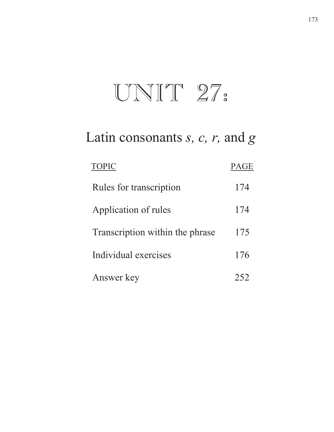# $UNIT 27.$

# Latin consonants *s, c, r,* and *g*

| <b>TOPIC</b>                    | <b>PAGE</b> |
|---------------------------------|-------------|
| Rules for transcription         | 174         |
| Application of rules            | 174         |
| Transcription within the phrase | 175         |
| Individual exercises            | 176         |
| Answer key                      |             |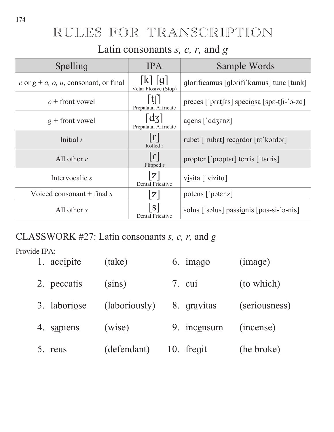## RULES FOR TRANSCRIPTION

## Latin consonants *s, c, r,* and *g*

| Spelling                                 | <b>IPA</b>                                        | Sample Words                                                                                       |
|------------------------------------------|---------------------------------------------------|----------------------------------------------------------------------------------------------------|
| c or $g + a$ , o, u, consonant, or final | k  q <br>Velar Plosive (Stop)                     | glorificamus [glorifi kamus] tunc [tunk]                                                           |
| $c$ + front vowel                        | Prepalatal Affricate                              | preces [' $pret$ [ $\epsilon s$ ] speciosa [ $sp$ $\epsilon$ - $t$ [ $i$ -' $\sigma$ - $z\alpha$ ] |
| $g$ + front vowel                        | dz<br>Prepalatal Affricate                        | agens $\lceil \cdot \text{adzenz} \rceil$                                                          |
| Initial $r$                              | r <br>Rolled r                                    | rubet ['rubet] recordor [rɛ'kɔrdɔr]                                                                |
| All other $r$                            | $\lfloor \frac{1}{\epsilon} \rfloor$<br>Flipped r | propter ['propter] terris ['terris]                                                                |
| Intervocalic s                           | Z <br><b>Dental Fricative</b>                     | visita ['vizita]                                                                                   |
| Voiced consonant $+$ final s             | Z                                                 | potens ['potenz]                                                                                   |
| All other $s$                            | S<br>Dental Fricative                             | solus ['solus] passionis [pas-si-'o-nis]                                                           |

## CLASSWORK #27: Latin consonants *s, c, r,* and *g*

| 1. accipite  | (take)        | $6.$ imago  | (image)       |
|--------------|---------------|-------------|---------------|
| 2. peccatis  | (sins)        | 7. cui      | (to which)    |
| 3. laboriose | (laboriously) | 8. gravitas | (seriousness) |
| 4. sapiens   | (wise)        | 9. incensum | (incense)     |
| 5. reus      | (defendant)   | 10. freqit  | (he broke)    |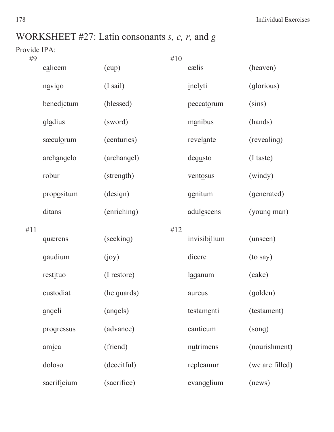178 Individual Exercises

## WORKSHEET #27: Latin consonants *s, c, r,* and *g*

| #9  |                |                    | #10 |              |                 |
|-----|----------------|--------------------|-----|--------------|-----------------|
|     | calicem        | (cup)              |     | cælis        | (heaven)        |
|     | navigo         | $(I \text{ sail})$ |     | inclyti      | (glorious)      |
|     | benedictum     | (blessed)          |     | peccatorum   | (sins)          |
|     | gladius        | (sword)            |     | manibus      | (hands)         |
|     | sæculorum      | (centuries)        |     | revelante    | (revealing)     |
|     | archangelo     | (archangel)        |     | degusto      | (I taste)       |
|     | robur          | (strength)         |     | ventosus     | (windy)         |
|     | propositum     | (design)           |     | genitum      | (generated)     |
|     | ditans         | (enriching)        |     | adulescens   | (young man)     |
| #11 |                |                    | #12 |              |                 |
|     | quærens        | (seeking)          |     | invisibilium | (unseen)        |
|     | <u>gaudium</u> | (ioy)              |     | dicere       | (to say)        |
|     | restituo       | (I restore)        |     | laganum      | (cake)          |
|     | custodiat      | (he guards)        |     | aureus       | (golden)        |
|     | angeli         | (angels)           |     | testamenti   | (testament)     |
|     | progressus     | (advance)          |     | canticum     | (song)          |
|     | amica          | (friend)           |     | nutrimens    | (nourishment)   |
|     | doloso         | (deceitful)        |     | repleamur    | (we are filled) |
|     | sacrificium    | (sacrifice)        |     | evangelium   | (news)          |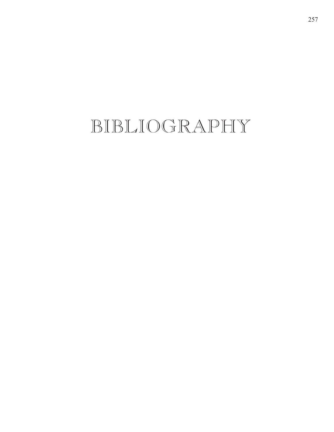# BIBLIOGRAPHY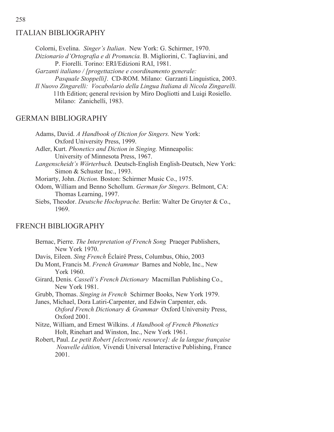#### ITALIAN BIBLIOGRAPHY

Colorni, Evelina. *Singer's Italian*. New York: G. Schirmer, 1970. Dizionario d'Ortografia e di Pronuncia. B. Migliorini, C. Tagliavini, and P. Fiorelli. Torino: ERI/Edizioni RAI, 1981. *Garzanti italiano / [progettazione e coordinamento generale: Pasquale Stoppelli].* CD-ROM. Milano: Garzanti Linquistica, 2003. *Il Nuovo Zingarelli: Vocabolario della Lingua Italiana di Nicola Zingarelli.*  11th Edition; general revision by Miro Dogliotti and Luigi Rosiello.

Milano: Zanichelli, 1983.

#### GERMAN BIBLIOGRAPHY

Adams, David. *A Handbook of Diction for Singers.* New York: Oxford University Press, 1999. Adler, Kurt. *Phonetics and Diction in Singing.* Minneapolis: University of Minnesota Press, 1967. Langenscheidt's Wörterbuch. Deutsch-English English-Deutsch, New York: Simon & Schuster Inc., 1993. Moriarty, John. *Diction.* Boston: Schirmer Music Co., 1975. Odom, William and Benno Schollum. *German for Singers*. Belmont, CA: Thomas Learning, 1997. Siebs, Theodor. *Deutsche Hochsprache.* Berlin: Walter De Gruyter & Co., 1969.

#### FRENCH BIBLIOGRAPHY

Bernac, Pierre. *The Interpretation of French Song* Praeger Publishers, New York 1970. Davis, Eileen. *Sing French* Éclairé Press, Columbus, Ohio, 2003 Du Mont, Francis M. *French Grammar* Barnes and Noble, Inc., New York 1960. Girard, Denis. *Cassell's French Dictionary* Macmillan Publishing Co., New York 1981. Grubb, Thomas. *Singing in French* Schirmer Books, New York 1979. Janes, Michael, Dora Latiri-Carpenter, and Edwin Carpenter, eds. *Oxford French Dictionary & Grammar* Oxford University Press, Oxford 2001. Nitze, William, and Ernest Wilkins. *A Handbook of French Phonetics*  Holt, Rinehart and Winston, Inc., New York 1961. Robert, Paul. *Le petit Robert [electronic resource]: de la langue française Nouvelle édition, Vivendi Universal Interactive Publishing, France* 2001.